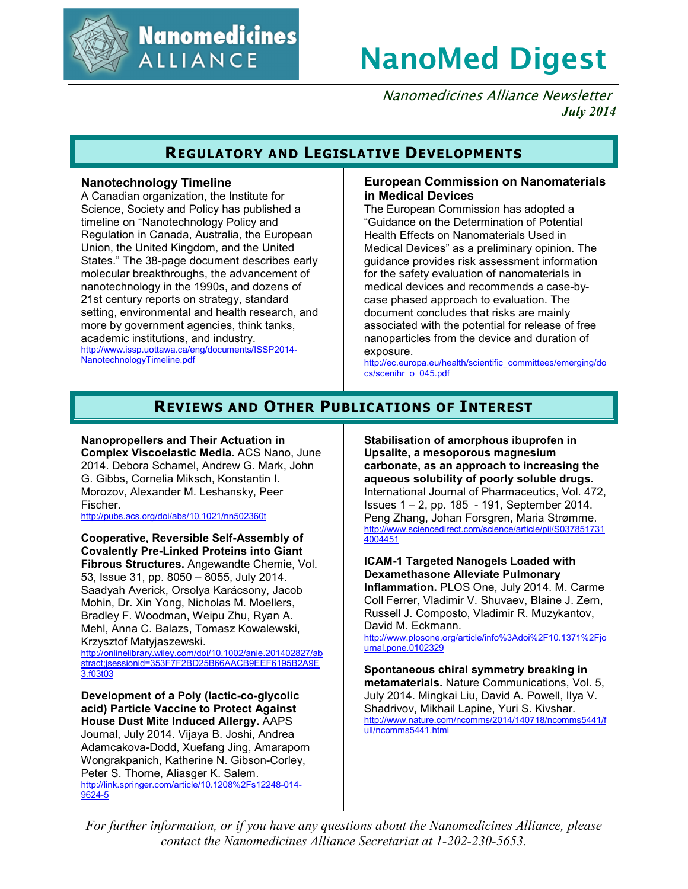

**Nanomedicines ALLIANCE** 

# **NanoMed Digest**

Nanomedicines Alliance Newsletter *July 2014*

## **REGULATORY AND LEGISLATIVE DEVELOPMENTS**

## **Nanotechnology Timeline**

A Canadian organization, the Institute for Science, Society and Policy has published a timeline on "Nanotechnology Policy and Regulation in Canada, Australia, the European Union, the United Kingdom, and the United States." The 38-page document describes early molecular breakthroughs, the advancement of nanotechnology in the 1990s, and dozens of 21st century reports on strategy, standard setting, environmental and health research, and more by government agencies, think tanks, academic institutions, and industry. http://www.issp.uottawa.ca/eng/documents/ISSP2014- NanotechnologyTimeline.pdf

## **European Commission on Nanomaterials in Medical Devices**

The European Commission has adopted a "Guidance on the Determination of Potential Health Effects on Nanomaterials Used in Medical Devices" as a preliminary opinion. The guidance provides risk assessment information for the safety evaluation of nanomaterials in medical devices and recommends a case-bycase phased approach to evaluation. The document concludes that risks are mainly associated with the potential for release of free nanoparticles from the device and duration of exposure.

http://ec.europa.eu/health/scientific\_committees/emerging/do cs/scenihr\_o\_045.pdf

# **REVIEWS AND OTHER PUBLICATIONS OF INTEREST**

## **Nanopropellers and Their Actuation in**

**Complex Viscoelastic Media.** ACS Nano, June 2014. Debora Schamel, Andrew G. Mark, John G. Gibbs, Cornelia Miksch, Konstantin I. Morozov, Alexander M. Leshansky, Peer Fischer.

http://pubs.acs.org/doi/abs/10.1021/nn502360t

**Cooperative, Reversible Self-Assembly of Covalently Pre-Linked Proteins into Giant Fibrous Structures.** Angewandte Chemie, Vol. 53, Issue 31, pp. 8050 – 8055, July 2014. Saadyah Averick, Orsolya Karácsony, Jacob Mohin, Dr. Xin Yong, Nicholas M. Moellers, Bradley F. Woodman, Weipu Zhu, Ryan A. Mehl, Anna C. Balazs, Tomasz Kowalewski, Krzysztof Matyjaszewski.

http://onlinelibrary.wiley.com/doi/10.1002/anie.201402827/ab stract;jsessionid=353F7F2BD25B66AACB9EEF6195B2A9E 3.f03t03

**Development of a Poly (lactic-co-glycolic acid) Particle Vaccine to Protect Against House Dust Mite Induced Allergy.** AAPS Journal, July 2014. Vijaya B. Joshi, Andrea Adamcakova-Dodd, Xuefang Jing, Amaraporn Wongrakpanich, Katherine N. Gibson-Corley, Peter S. Thorne, Aliasger K. Salem. http://link.springer.com/article/10.1208%2Fs12248-014- 9624-5

**Stabilisation of amorphous ibuprofen in Upsalite, a mesoporous magnesium carbonate, as an approach to increasing the aqueous solubility of poorly soluble drugs.** International Journal of Pharmaceutics, Vol. 472, Issues 1 – 2, pp. 185 - 191, September 2014. Peng Zhang, Johan Forsgren, Maria Strømme. http://www.sciencedirect.com/science/article/pii/S037851731 4004451

**ICAM-1 Targeted Nanogels Loaded with Dexamethasone Alleviate Pulmonary Inflammation.** PLOS One, July 2014. M. Carme Coll Ferrer, Vladimir V. Shuvaev, Blaine J. Zern, Russell J. Composto, Vladimir R. Muzykantov, David M. Eckmann.

http://www.plosone.org/article/info%3Adoi%2F10.1371%2Fjo urnal.pone.0102329

**Spontaneous chiral symmetry breaking in metamaterials.** Nature Communications, Vol. 5, July 2014. Mingkai Liu, David A. Powell, Ilya V. Shadrivov, Mikhail Lapine, Yuri S. Kivshar. http://www.nature.com/ncomms/2014/140718/ncomms5441/f ull/ncomms5441.html

*For further information, or if you have any questions about the Nanomedicines Alliance, please contact the Nanomedicines Alliance Secretariat at 1-202-230-5653.*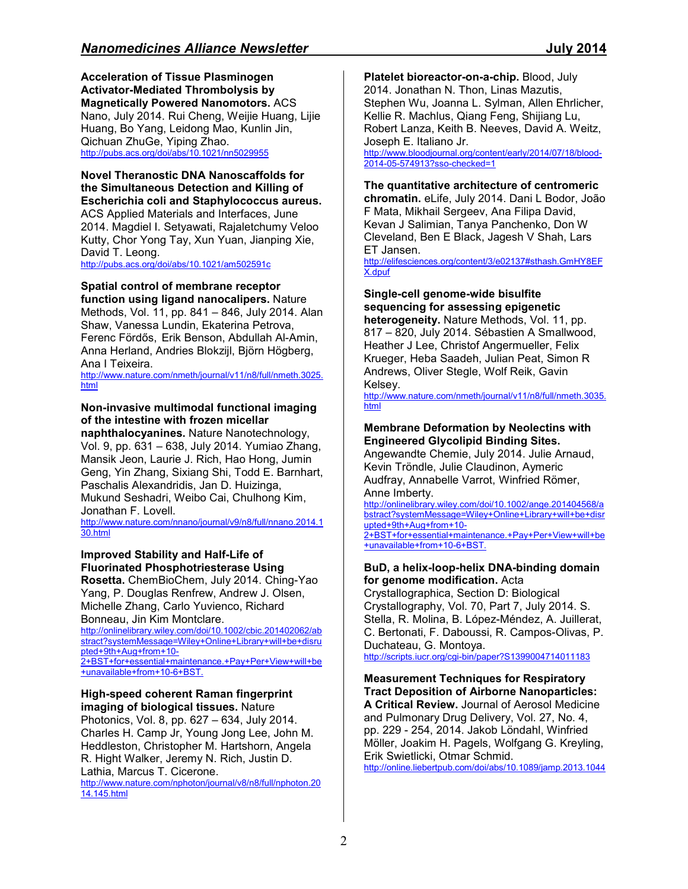**Acceleration of Tissue Plasminogen Activator-Mediated Thrombolysis by Magnetically Powered Nanomotors.** ACS Nano, July 2014. Rui Cheng, Weijie Huang, Lijie Huang, Bo Yang, Leidong Mao, Kunlin Jin, Qichuan ZhuGe, Yiping Zhao. http://pubs.acs.org/doi/abs/10.1021/nn5029955

## **Novel Theranostic DNA Nanoscaffolds for the Simultaneous Detection and Killing of Escherichia coli and Staphylococcus aureus.** ACS Applied Materials and Interfaces, June 2014. Magdiel I. Setyawati, Rajaletchumy Veloo

Kutty, Chor Yong Tay, Xun Yuan, Jianping Xie, David T. Leong. http://pubs.acs.org/doi/abs/10.1021/am502591c

## **Spatial control of membrane receptor**

**function using ligand nanocalipers.** Nature Methods, Vol. 11, pp. 841 – 846, July 2014. Alan Shaw, Vanessa Lundin, Ekaterina Petrova, Ferenc Fördős, Erik Benson, Abdullah Al-Amin, Anna Herland, Andries Blokzijl, Björn Högberg, Ana I Teixeira.

http://www.nature.com/nmeth/journal/v11/n8/full/nmeth.3025. html

## **Non-invasive multimodal functional imaging of the intestine with frozen micellar**

**naphthalocyanines.** Nature Nanotechnology, Vol. 9, pp. 631 – 638, July 2014. Yumiao Zhang, Mansik Jeon, Laurie J. Rich, Hao Hong, Jumin Geng, Yin Zhang, Sixiang Shi, Todd E. Barnhart, Paschalis Alexandridis, Jan D. Huizinga, Mukund Seshadri, Weibo Cai, Chulhong Kim, Jonathan F. Lovell.

http://www.nature.com/nnano/journal/v9/n8/full/nnano.2014.1 30.html

## **Improved Stability and Half-Life of Fluorinated Phosphotriesterase Using**

**Rosetta.** ChemBioChem, July 2014. Ching-Yao Yang, P. Douglas Renfrew, Andrew J. Olsen, Michelle Zhang, Carlo Yuvienco, Richard Bonneau, Jin Kim Montclare.

http://onlinelibrary.wiley.com/doi/10.1002/cbic.201402062/ab stract?systemMessage=Wiley+Online+Library+will+be+disru pted+9th+Aug+from+10- 2+BST+for+essential+maintenance.+Pay+Per+View+will+be

+unavailable+from+10-6+BST.

## **High-speed coherent Raman fingerprint imaging of biological tissues.** Nature

Photonics, Vol. 8, pp. 627 – 634, July 2014. Charles H. Camp Jr, Young Jong Lee, John M. Heddleston, Christopher M. Hartshorn, Angela R. Hight Walker, Jeremy N. Rich, Justin D. Lathia, Marcus T. Cicerone.

http://www.nature.com/nphoton/journal/v8/n8/full/nphoton.20 14.145.html

**Platelet bioreactor-on-a-chip.** Blood, July 2014. Jonathan N. Thon, Linas Mazutis, Stephen Wu, Joanna L. Sylman, Allen Ehrlicher, Kellie R. Machlus, Qiang Feng, Shijiang Lu, Robert Lanza, Keith B. Neeves, David A. Weitz, Joseph E. Italiano Jr.

http://www.bloodjournal.org/content/early/2014/07/18/blood-2014-05-574913?sso-checked=1

## **The quantitative architecture of centromeric**

**chromatin.** eLife, July 2014. Dani L Bodor, João F Mata, Mikhail Sergeev, Ana Filipa David, Kevan J Salimian, Tanya Panchenko, Don W Cleveland, Ben E Black, Jagesh V Shah, Lars ET Jansen.

http://elifesciences.org/content/3/e02137#sthash.GmHY8EF X.dpuf

## **Single-cell genome-wide bisulfite sequencing for assessing epigenetic**

**heterogeneity.** Nature Methods, Vol. 11, pp. 817 – 820, July 2014. Sébastien A Smallwood, Heather J Lee, Christof Angermueller, Felix Krueger, Heba Saadeh, Julian Peat, Simon R Andrews, Oliver Stegle, Wolf Reik, Gavin Kelsey.

http://www.nature.com/nmeth/journal/v11/n8/full/nmeth.3035. html

## **Membrane Deformation by Neolectins with Engineered Glycolipid Binding Sites.**

Angewandte Chemie, July 2014. Julie Arnaud, Kevin Tröndle, Julie Claudinon, Aymeric Audfray, Annabelle Varrot, Winfried Römer, Anne Imberty.

http://onlinelibrary.wiley.com/doi/10.1002/ange.201404568/a bstract?systemMessage=Wiley+Online+Library+will+be+disr upted+9th+Aug+from+10- 2+BST+for+essential+maintenance.+Pay+Per+View+will+be

+unavailable+from+10-6+BST.

## **BuD, a helix-loop-helix DNA-binding domain for genome modification.** Acta

Crystallographica, Section D: Biological Crystallography, Vol. 70, Part 7, July 2014. S. Stella, R. Molina, B. López-Méndez, A. Juillerat, C. Bertonati, F. Daboussi, R. Campos-Olivas, P. Duchateau, G. Montoya. http://scripts.iucr.org/cgi-bin/paper?S1399004714011183

**Measurement Techniques for Respiratory Tract Deposition of Airborne Nanoparticles: A Critical Review.** Journal of Aerosol Medicine and Pulmonary Drug Delivery, Vol. 27, No. 4, pp. 229 - 254, 2014. Jakob Löndahl, Winfried Möller, Joakim H. Pagels, Wolfgang G. Kreyling, Erik Swietlicki, Otmar Schmid. http://online.liebertpub.com/doi/abs/10.1089/jamp.2013.1044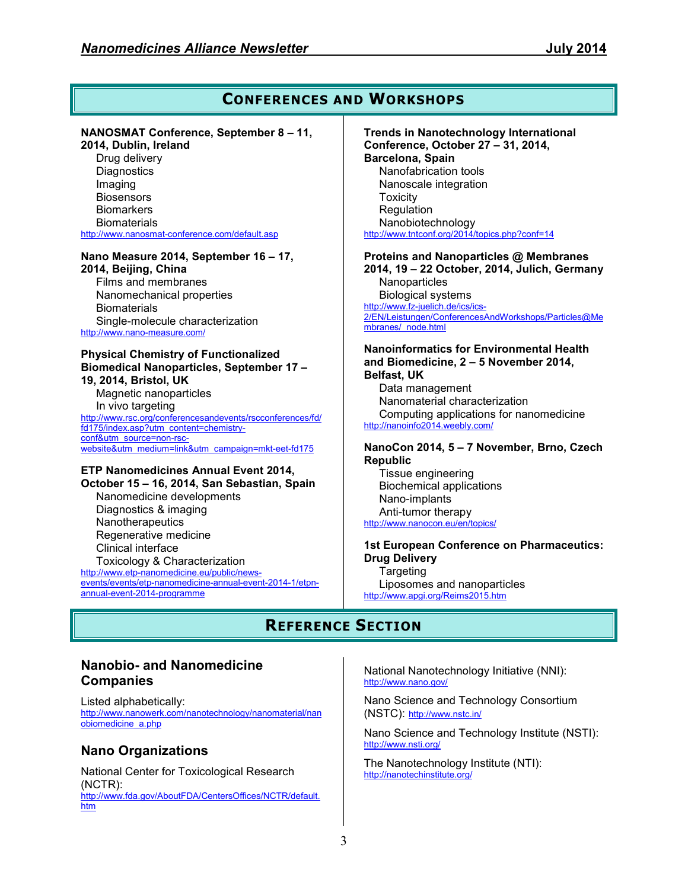## **CONFERENCES AND WORKSHOPS**

## **NANOSMAT Conference, September 8 – 11,**

**2014, Dublin, Ireland**  Drug delivery **Diagnostics** Imaging **Biosensors Biomarkers Biomaterials** http://www.nanosmat-conference.com/default.asp

#### **Nano Measure 2014, September 16 – 17, 2014, Beijing, China**

Films and membranes Nanomechanical properties **Biomaterials** Single-molecule characterization http://www.nano-measure.com/

#### **Physical Chemistry of Functionalized Biomedical Nanoparticles, September 17 – 19, 2014, Bristol, UK**

Magnetic nanoparticles In vivo targeting http://www.rsc.org/conferencesandevents/rscconferences/fd/ fd175/index.asp?utm\_content=chemistryconf&utm\_source=non-rscwebsite&utm\_medium=link&utm\_campaign=mkt-eet-fd175

# **ETP Nanomedicines Annual Event 2014,**

**October 15 – 16, 2014, San Sebastian, Spain**  Nanomedicine developments Diagnostics & imaging **Nanotherapeutics** Regenerative medicine Clinical interface Toxicology & Characterization http://www.etp-nanomedicine.eu/public/newsevents/events/etp-nanomedicine-annual-event-2014-1/etpnannual-event-2014-programme

**Trends in Nanotechnology International Conference, October 27 – 31, 2014, Barcelona, Spain**  Nanofabrication tools Nanoscale integration Toxicity Regulation Nanobiotechnology http://www.tntconf.org/2014/topics.php?conf=14

**Proteins and Nanoparticles @ Membranes 2014, 19 – 22 October, 2014, Julich, Germany Nanoparticles** Biological systems

http://www.fz-juelich.de/ics/ics-2/EN/Leistungen/ConferencesAndWorkshops/Particles@Me mbranes/\_node.html

#### **Nanoinformatics for Environmental Health and Biomedicine, 2 – 5 November 2014, Belfast, UK**

Data management Nanomaterial characterization Computing applications for nanomedicine http://nanoinfo2014.weebly.com/

## **NanoCon 2014, 5 – 7 November, Brno, Czech Republic**

Tissue engineering Biochemical applications Nano-implants Anti-tumor therapy http://www.nanocon.eu/en/topics/

### **1st European Conference on Pharmaceutics: Drug Delivery Targeting** Liposomes and nanoparticles

http://www.apgi.org/Reims2015.htm

# **REFERENCE SECTION**

## **Nanobio- and Nanomedicine Companies**

Listed alphabetically: http://www.nanowerk.com/nanotechnology/nanomaterial/nan obiomedicine\_a.php

## **Nano Organizations**

National Center for Toxicological Research (NCTR): http://www.fda.gov/AboutFDA/CentersOffices/NCTR/default. htm

National Nanotechnology Initiative (NNI): http://www.nano.gov/

Nano Science and Technology Consortium (NSTC): http://www.nstc.in/

Nano Science and Technology Institute (NSTI): http://www.nsti.org/

The Nanotechnology Institute (NTI): http://nanotechinstitute.org/